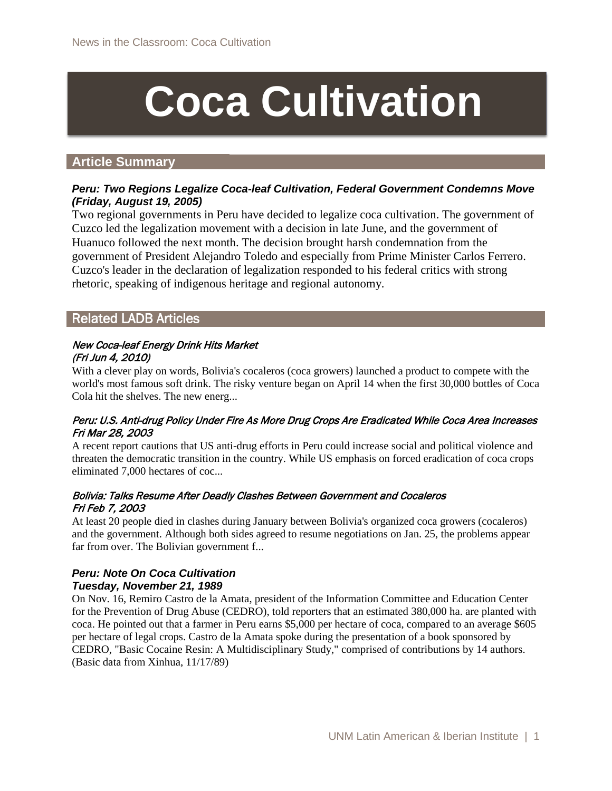# **Coca Cultivation**

# **Article Summary**

# *Peru: Two Regions Legalize Coca-leaf Cultivation, Federal Government Condemns Move (Friday, August 19, 2005)*

Two regional governments in Peru have decided to legalize coca cultivation. The government of Cuzco led the legalization movement with a decision in late June, and the government of Huanuco followed the next month. The decision brought harsh condemnation from the government of President Alejandro Toledo and especially from Prime Minister Carlos Ferrero. Cuzco's leader in the declaration of legalization responded to his federal critics with strong rhetoric, speaking of indigenous heritage and regional autonomy.

# Related LADB Articles

#### New Coca-leaf Energy Drink Hits Market (Fri Jun 4, 2010)

With a clever play on words, Bolivia's cocaleros (coca growers) launched a product to compete with the world's most famous soft drink. The risky venture began on April 14 when the first 30,000 bottles of Coca Cola hit the shelves. The new energ...

# Peru: U.S. Anti-drug Policy Under Fire As More Drug Crops Are Eradicated While Coca Area Increases Fri Mar 28, 2003

A recent report cautions that US anti-drug efforts in Peru could increase social and political violence and threaten the democratic transition in the country. While US emphasis on forced eradication of coca crops eliminated 7,000 hectares of coc...

#### Bolivia: Talks Resume After Deadly Clashes Between Government and Cocaleros Fri Feb 7, 2003

At least 20 people died in clashes during January between Bolivia's organized coca growers (cocaleros) and the government. Although both sides agreed to resume negotiations on Jan. 25, the problems appear far from over. The Bolivian government f...

# *Peru: Note On Coca Cultivation Tuesday, November 21, 1989*

On Nov. 16, Remiro Castro de la Amata, president of the Information Committee and Education Center for the Prevention of Drug Abuse (CEDRO), told reporters that an estimated 380,000 ha. are planted with coca. He pointed out that a farmer in Peru earns \$5,000 per hectare of coca, compared to an average \$605 per hectare of legal crops. Castro de la Amata spoke during the presentation of a book sponsored by CEDRO, "Basic Cocaine Resin: A Multidisciplinary Study," comprised of contributions by 14 authors. (Basic data from Xinhua, 11/17/89)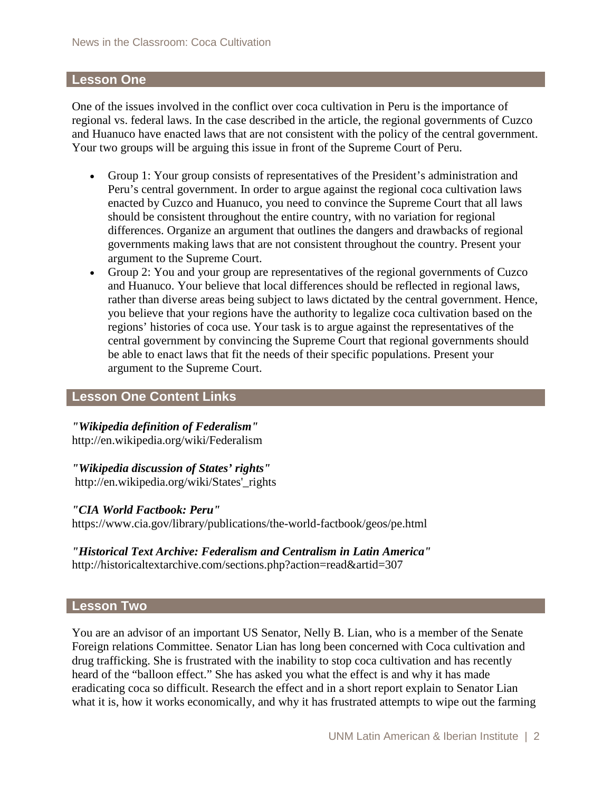# **Lesson One**

One of the issues involved in the conflict over coca cultivation in Peru is the importance of regional vs. federal laws. In the case described in the article, the regional governments of Cuzco and Huanuco have enacted laws that are not consistent with the policy of the central government. Your two groups will be arguing this issue in front of the Supreme Court of Peru.

- Group 1: Your group consists of representatives of the President's administration and Peru's central government. In order to argue against the regional coca cultivation laws enacted by Cuzco and Huanuco, you need to convince the Supreme Court that all laws should be consistent throughout the entire country, with no variation for regional differences. Organize an argument that outlines the dangers and drawbacks of regional governments making laws that are not consistent throughout the country. Present your argument to the Supreme Court.
- Group 2: You and your group are representatives of the regional governments of Cuzco and Huanuco. Your believe that local differences should be reflected in regional laws, rather than diverse areas being subject to laws dictated by the central government. Hence, you believe that your regions have the authority to legalize coca cultivation based on the regions' histories of coca use. Your task is to argue against the representatives of the central government by convincing the Supreme Court that regional governments should be able to enact laws that fit the needs of their specific populations. Present your argument to the Supreme Court.

# **Lesson One Content Links**

# *"Wikipedia definition of Federalism"*

http://en.wikipedia.org/wiki/Federalism

# *"Wikipedia discussion of States' rights"*

http://en.wikipedia.org/wiki/States'\_rights

#### *"CIA World Factbook: Peru"*

https://www.cia.gov/library/publications/the-world-factbook/geos/pe.html

# *"Historical Text Archive: Federalism and Centralism in Latin America"* http://historicaltextarchive.com/sections.php?action=read&artid=307

#### **Lesson Two**

You are an advisor of an important US Senator, Nelly B. Lian, who is a member of the Senate Foreign relations Committee. Senator Lian has long been concerned with Coca cultivation and drug trafficking. She is frustrated with the inability to stop coca cultivation and has recently heard of the "balloon effect." She has asked you what the effect is and why it has made eradicating coca so difficult. Research the effect and in a short report explain to Senator Lian what it is, how it works economically, and why it has frustrated attempts to wipe out the farming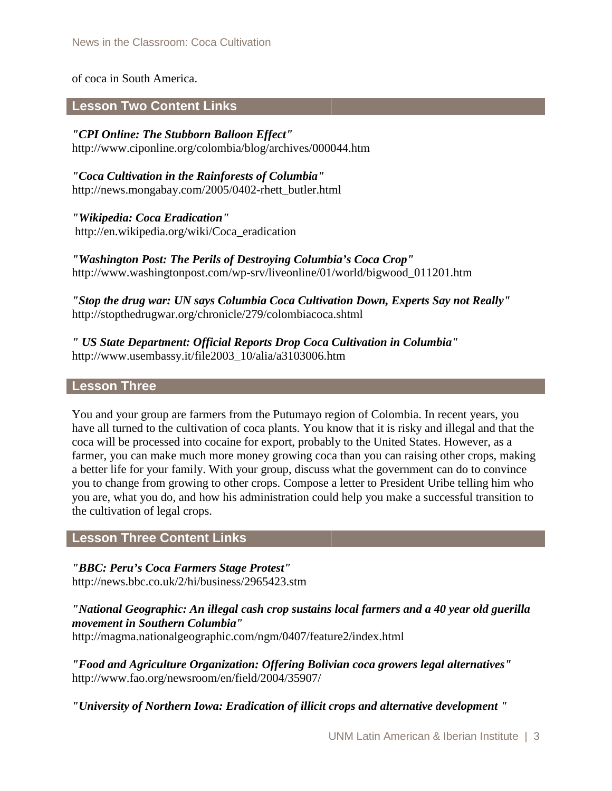# of coca in South America.

# **Lesson Two Content Links**

*"CPI Online: The Stubborn Balloon Effect"*  http://www.ciponline.org/colombia/blog/archives/000044.htm

*"Coca Cultivation in the Rainforests of Columbia"*  http://news.mongabay.com/2005/0402-rhett\_butler.html

*"Wikipedia: Coca Eradication"*  http://en.wikipedia.org/wiki/Coca\_eradication

*"Washington Post: The Perils of Destroying Columbia's Coca Crop"*  http://www.washingtonpost.com/wp-srv/liveonline/01/world/bigwood\_011201.htm

*"Stop the drug war: UN says Columbia Coca Cultivation Down, Experts Say not Really"*  http://stopthedrugwar.org/chronicle/279/colombiacoca.shtml

*" US State Department: Official Reports Drop Coca Cultivation in Columbia"*  http://www.usembassy.it/file2003\_10/alia/a3103006.htm

#### **Lesson Three**

You and your group are farmers from the Putumayo region of Colombia. In recent years, you have all turned to the cultivation of coca plants. You know that it is risky and illegal and that the coca will be processed into cocaine for export, probably to the United States. However, as a farmer, you can make much more money growing coca than you can raising other crops, making a better life for your family. With your group, discuss what the government can do to convince you to change from growing to other crops. Compose a letter to President Uribe telling him who you are, what you do, and how his administration could help you make a successful transition to the cultivation of legal crops.

# **Lesson Three Content Links**

*"BBC: Peru's Coca Farmers Stage Protest"*  http://news.bbc.co.uk/2/hi/business/2965423.stm

*"National Geographic: An illegal cash crop sustains local farmers and a 40 year old guerilla movement in Southern Columbia"* 

http://magma.nationalgeographic.com/ngm/0407/feature2/index.html

*"Food and Agriculture Organization: Offering Bolivian coca growers legal alternatives"* http://www.fao.org/newsroom/en/field/2004/35907/

*"University of Northern Iowa: Eradication of illicit crops and alternative development "*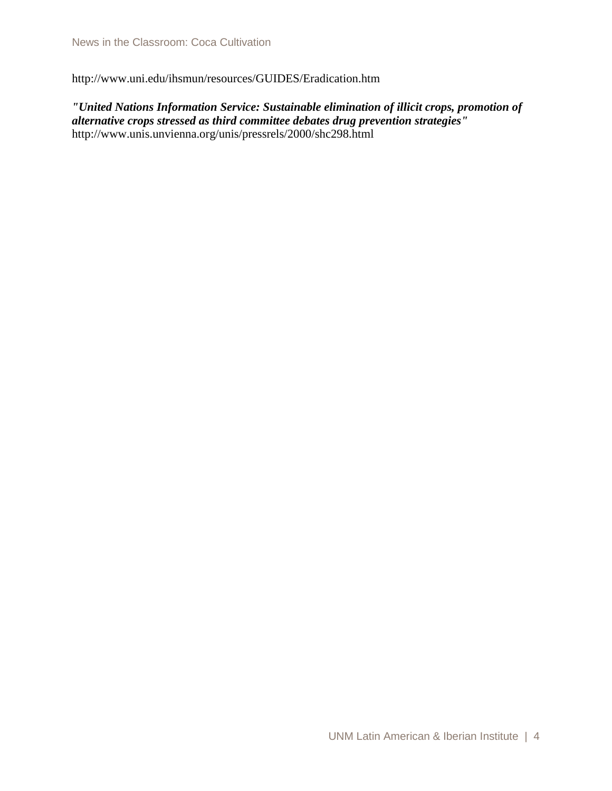http://www.uni.edu/ihsmun/resources/GUIDES/Eradication.htm

*"United Nations Information Service: Sustainable elimination of illicit crops, promotion of alternative crops stressed as third committee debates drug prevention strategies"*  http://www.unis.unvienna.org/unis/pressrels/2000/shc298.html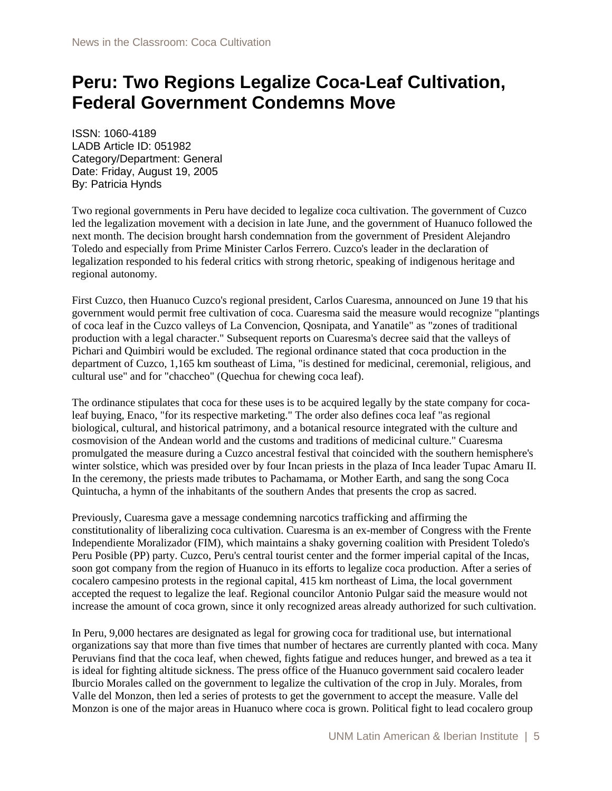# **Peru: Two Regions Legalize Coca-Leaf Cultivation, Federal Government Condemns Move**

ISSN: 1060-4189 LADB Article ID: 051982 Category/Department: General Date: Friday, August 19, 2005 By: Patricia Hynds

Two regional governments in Peru have decided to legalize coca cultivation. The government of Cuzco led the legalization movement with a decision in late June, and the government of Huanuco followed the next month. The decision brought harsh condemnation from the government of President Alejandro Toledo and especially from Prime Minister Carlos Ferrero. Cuzco's leader in the declaration of legalization responded to his federal critics with strong rhetoric, speaking of indigenous heritage and regional autonomy.

First Cuzco, then Huanuco Cuzco's regional president, Carlos Cuaresma, announced on June 19 that his government would permit free cultivation of coca. Cuaresma said the measure would recognize "plantings of coca leaf in the Cuzco valleys of La Convencion, Qosnipata, and Yanatile" as "zones of traditional production with a legal character." Subsequent reports on Cuaresma's decree said that the valleys of Pichari and Quimbiri would be excluded. The regional ordinance stated that coca production in the department of Cuzco, 1,165 km southeast of Lima, "is destined for medicinal, ceremonial, religious, and cultural use" and for "chaccheo" (Quechua for chewing coca leaf).

The ordinance stipulates that coca for these uses is to be acquired legally by the state company for cocaleaf buying, Enaco, "for its respective marketing." The order also defines coca leaf "as regional biological, cultural, and historical patrimony, and a botanical resource integrated with the culture and cosmovision of the Andean world and the customs and traditions of medicinal culture." Cuaresma promulgated the measure during a Cuzco ancestral festival that coincided with the southern hemisphere's winter solstice, which was presided over by four Incan priests in the plaza of Inca leader Tupac Amaru II. In the ceremony, the priests made tributes to Pachamama, or Mother Earth, and sang the song Coca Quintucha, a hymn of the inhabitants of the southern Andes that presents the crop as sacred.

Previously, Cuaresma gave a message condemning narcotics trafficking and affirming the constitutionality of liberalizing coca cultivation. Cuaresma is an ex-member of Congress with the Frente Independiente Moralizador (FIM), which maintains a shaky governing coalition with President Toledo's Peru Posible (PP) party. Cuzco, Peru's central tourist center and the former imperial capital of the Incas, soon got company from the region of Huanuco in its efforts to legalize coca production. After a series of cocalero campesino protests in the regional capital, 415 km northeast of Lima, the local government accepted the request to legalize the leaf. Regional councilor Antonio Pulgar said the measure would not increase the amount of coca grown, since it only recognized areas already authorized for such cultivation.

In Peru, 9,000 hectares are designated as legal for growing coca for traditional use, but international organizations say that more than five times that number of hectares are currently planted with coca. Many Peruvians find that the coca leaf, when chewed, fights fatigue and reduces hunger, and brewed as a tea it is ideal for fighting altitude sickness. The press office of the Huanuco government said cocalero leader Iburcio Morales called on the government to legalize the cultivation of the crop in July. Morales, from Valle del Monzon, then led a series of protests to get the government to accept the measure. Valle del Monzon is one of the major areas in Huanuco where coca is grown. Political fight to lead cocalero group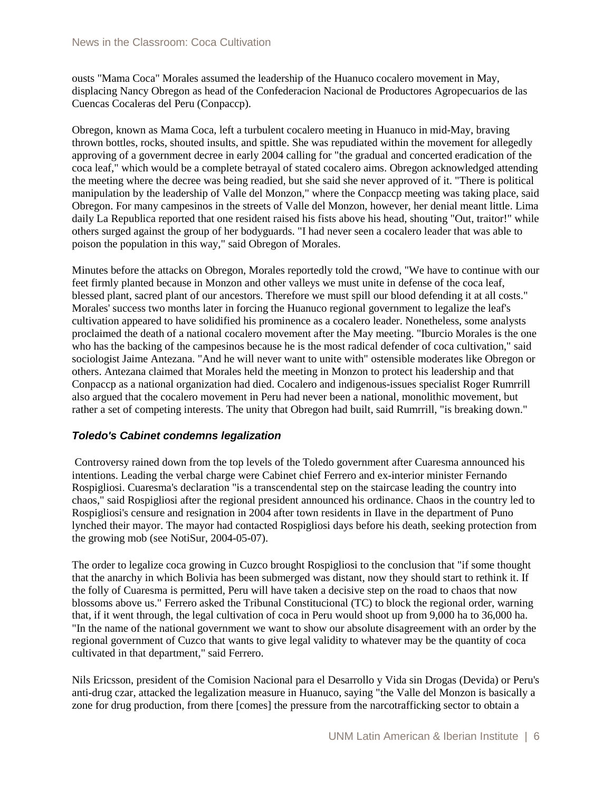ousts "Mama Coca" Morales assumed the leadership of the Huanuco cocalero movement in May, displacing Nancy Obregon as head of the Confederacion Nacional de Productores Agropecuarios de las Cuencas Cocaleras del Peru (Conpaccp).

Obregon, known as Mama Coca, left a turbulent cocalero meeting in Huanuco in mid-May, braving thrown bottles, rocks, shouted insults, and spittle. She was repudiated within the movement for allegedly approving of a government decree in early 2004 calling for "the gradual and concerted eradication of the coca leaf," which would be a complete betrayal of stated cocalero aims. Obregon acknowledged attending the meeting where the decree was being readied, but she said she never approved of it. "There is political manipulation by the leadership of Valle del Monzon," where the Conpaccp meeting was taking place, said Obregon. For many campesinos in the streets of Valle del Monzon, however, her denial meant little. Lima daily La Republica reported that one resident raised his fists above his head, shouting "Out, traitor!" while others surged against the group of her bodyguards. "I had never seen a cocalero leader that was able to poison the population in this way," said Obregon of Morales.

Minutes before the attacks on Obregon, Morales reportedly told the crowd, "We have to continue with our feet firmly planted because in Monzon and other valleys we must unite in defense of the coca leaf, blessed plant, sacred plant of our ancestors. Therefore we must spill our blood defending it at all costs." Morales' success two months later in forcing the Huanuco regional government to legalize the leaf's cultivation appeared to have solidified his prominence as a cocalero leader. Nonetheless, some analysts proclaimed the death of a national cocalero movement after the May meeting. "Iburcio Morales is the one who has the backing of the campesinos because he is the most radical defender of coca cultivation," said sociologist Jaime Antezana. "And he will never want to unite with" ostensible moderates like Obregon or others. Antezana claimed that Morales held the meeting in Monzon to protect his leadership and that Conpaccp as a national organization had died. Cocalero and indigenous-issues specialist Roger Rumrrill also argued that the cocalero movement in Peru had never been a national, monolithic movement, but rather a set of competing interests. The unity that Obregon had built, said Rumrrill, "is breaking down."

# *Toledo's Cabinet condemns legalization*

Controversy rained down from the top levels of the Toledo government after Cuaresma announced his intentions. Leading the verbal charge were Cabinet chief Ferrero and ex-interior minister Fernando Rospigliosi. Cuaresma's declaration "is a transcendental step on the staircase leading the country into chaos," said Rospigliosi after the regional president announced his ordinance. Chaos in the country led to Rospigliosi's censure and resignation in 2004 after town residents in Ilave in the department of Puno lynched their mayor. The mayor had contacted Rospigliosi days before his death, seeking protection from the growing mob (see NotiSur, 2004-05-07).

The order to legalize coca growing in Cuzco brought Rospigliosi to the conclusion that "if some thought that the anarchy in which Bolivia has been submerged was distant, now they should start to rethink it. If the folly of Cuaresma is permitted, Peru will have taken a decisive step on the road to chaos that now blossoms above us." Ferrero asked the Tribunal Constitucional (TC) to block the regional order, warning that, if it went through, the legal cultivation of coca in Peru would shoot up from 9,000 ha to 36,000 ha. "In the name of the national government we want to show our absolute disagreement with an order by the regional government of Cuzco that wants to give legal validity to whatever may be the quantity of coca cultivated in that department," said Ferrero.

Nils Ericsson, president of the Comision Nacional para el Desarrollo y Vida sin Drogas (Devida) or Peru's anti-drug czar, attacked the legalization measure in Huanuco, saying "the Valle del Monzon is basically a zone for drug production, from there [comes] the pressure from the narcotrafficking sector to obtain a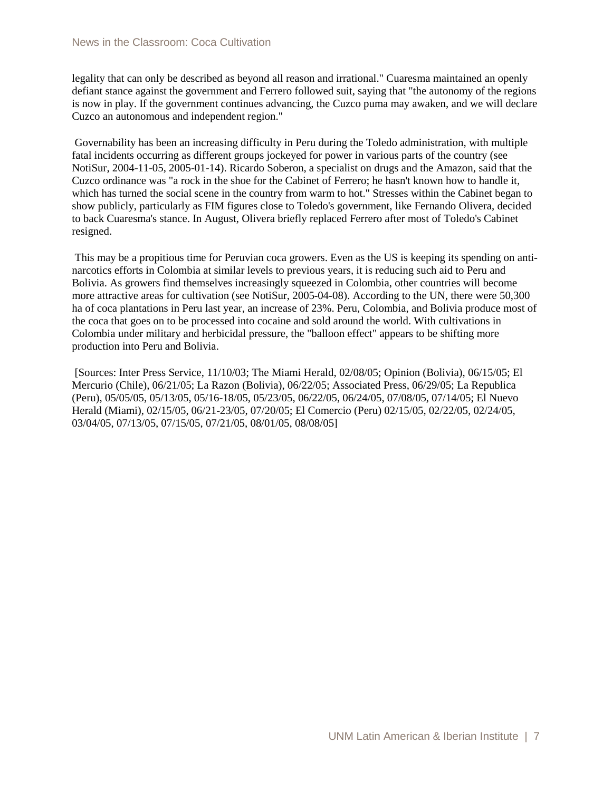legality that can only be described as beyond all reason and irrational." Cuaresma maintained an openly defiant stance against the government and Ferrero followed suit, saying that "the autonomy of the regions is now in play. If the government continues advancing, the Cuzco puma may awaken, and we will declare Cuzco an autonomous and independent region."

Governability has been an increasing difficulty in Peru during the Toledo administration, with multiple fatal incidents occurring as different groups jockeyed for power in various parts of the country (see NotiSur, 2004-11-05, 2005-01-14). Ricardo Soberon, a specialist on drugs and the Amazon, said that the Cuzco ordinance was "a rock in the shoe for the Cabinet of Ferrero; he hasn't known how to handle it, which has turned the social scene in the country from warm to hot." Stresses within the Cabinet began to show publicly, particularly as FIM figures close to Toledo's government, like Fernando Olivera, decided to back Cuaresma's stance. In August, Olivera briefly replaced Ferrero after most of Toledo's Cabinet resigned.

This may be a propitious time for Peruvian coca growers. Even as the US is keeping its spending on antinarcotics efforts in Colombia at similar levels to previous years, it is reducing such aid to Peru and Bolivia. As growers find themselves increasingly squeezed in Colombia, other countries will become more attractive areas for cultivation (see NotiSur, 2005-04-08). According to the UN, there were 50,300 ha of coca plantations in Peru last year, an increase of 23%. Peru, Colombia, and Bolivia produce most of the coca that goes on to be processed into cocaine and sold around the world. With cultivations in Colombia under military and herbicidal pressure, the "balloon effect" appears to be shifting more production into Peru and Bolivia.

[Sources: Inter Press Service, 11/10/03; The Miami Herald, 02/08/05; Opinion (Bolivia), 06/15/05; El Mercurio (Chile), 06/21/05; La Razon (Bolivia), 06/22/05; Associated Press, 06/29/05; La Republica (Peru), 05/05/05, 05/13/05, 05/16-18/05, 05/23/05, 06/22/05, 06/24/05, 07/08/05, 07/14/05; El Nuevo Herald (Miami), 02/15/05, 06/21-23/05, 07/20/05; El Comercio (Peru) 02/15/05, 02/22/05, 02/24/05, 03/04/05, 07/13/05, 07/15/05, 07/21/05, 08/01/05, 08/08/05]